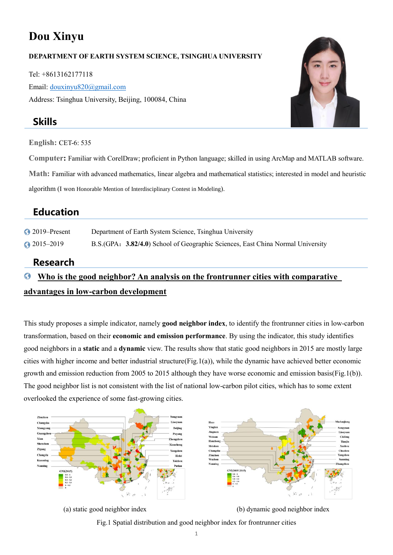# **Dou Xinyu**

#### **DEPARTMENT OF EARTH SYSTEM SCIENCE, TSINGHUA UNIVERSITY**

Tel: +8613162177118 Email: [douxinyu820@gmail.com](mailto:douxinyu820@gmail.comn) Address: Tsinghua University, Beijing, 100084, China

### **Skills**

**English:** CET-6: 535

**Computer:** Familiar with CorelDraw; proficient in Python language; skilled in using ArcMap and MATLAB software.

**Math:** Familiar with advanced mathematics, linear algebra and mathematical statistics; interested in model and heuristic

algorithm (I won Honorable Mention of Interdisciplinary Contest in Modeling).

## **Education**

2019–Present Department of Earth System Science, Tsinghua University

2015–2019 B.S.(GPA:**3.82/4.0**) School of Geographic Sciences, East China Normal University

### **Research**

#### O **Who is the good neighbor? An analysis on the frontrunner cities with comparative**

### **advantages in low-carbon development**

This study proposes a simple indicator, namely **good neighbor index**, to identify the frontrunner cities in low-carbon transformation, based on their **economic and emission performance**. By using the indicator, this study identifies good neighbors in a **static** and a **dynamic** view. The results show that static good neighbors in 2015 are mostly large cities with higher income and better industrial structure( $Fig.1(a)$ ), while the dynamic have achieved better economic growth and emission reduction from 2005 to 2015 although they have worse economic and emission basis(Fig.1(b)). The good neighbor list is not consistent with the list of national low-carbon pilot cities, which has to some extent overlooked the experience of some fast-growing cities.



(a) static good neighbor index (b) dynamic good neighbor index

Fig.1 Spatial distribution and good neighbor index for frontrunner cities

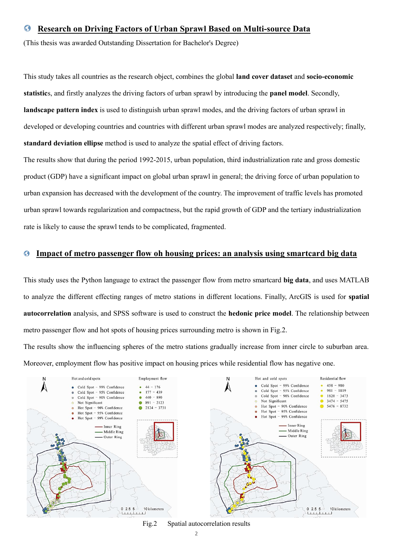#### **Research on Driving Factors of Urban Sprawl Based on Multi-source Data** G

(This thesis was awarded Outstanding Dissertation for Bachelor's Degree)

This study takes all countries as the research object, combines the global **land cover dataset** and **socio-economic statistic**s, and firstly analyzes the driving factors of urban sprawl by introducing the **panel model**. Secondly, **landscape pattern index** is used to distinguish urban sprawl modes, and the driving factors of urban sprawl in developed or developing countries and countries with different urban sprawl modes are analyzed respectively; finally, **standard deviation ellipse** method is used to analyze the spatial effect of driving factors.

The results show that during the period 1992-2015, urban population, third industrialization rate and gross domestic product (GDP) have a significant impact on global urban sprawl in general; the driving force of urban population to urban expansion has decreased with the development of the country. The improvement of traffic levels has promoted urban sprawl towards regularization and compactness, but the rapid growth of GDP and the tertiary industrialization rate is likely to cause the sprawl tends to be complicated, fragmented.

#### O  **Impact of metro passenger flow oh housing prices: an analysis using smartcard big data**

This study uses the Python language to extract the passenger flow from metro smartcard **big data**, and uses MATLAB to analyze the different effecting ranges of metro stations in different locations. Finally, ArcGIS is used for **spatial autocorrelation** analysis, and SPSS software is used to construct the **hedonic price model**. The relationship between metro passenger flow and hot spots of housing prices surrounding metro is shown in Fig.2.

The results show the influencing spheres of the metro stations gradually increase from inner circle to suburban area. Moreover, employment flow has positive impact on housing prices while residential flow has negative one.



Fig.2 Spatial autocorrelation results